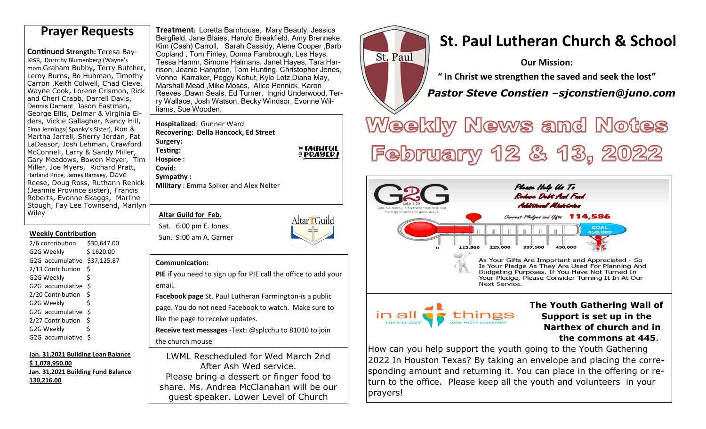**Continued Strength: Teresa Bay**less, Dorothy Blumenberg (Wayne's mom,Graham Bubby**,** Terry Butcher, Leroy Burns, Bo Huhman, Timothy Carron ,Keith Colwell, Chad Cleve, Wayne Cook, Lorene Crismon, Rick and Cheri Crabb, Darrell Davis, Dennis Dement, Jason Eastman, George Ellis, Delmar & Virginia Elders, Vickie Gallagher, Nancy Hill, Elma Jennings( Spanky's Sister), Ron & Martha Jarrell, Sherry Jordan, Pat LaDassor, Josh Lehman, Crawford McConnell, Larry & Sandy Miller, Gary Meadows, Bowen Meyer, Tim Miller, Joe Myers, Richard Pratt, Harland Price, James Ramsey, Dave Reese, Doug Ross, Ruthann Renick (Jeannie Province sister), Francis Roberts, Evonne Skaggs, Marline Stough, Fay Lee Townsend, Marilyn Wiley

### **Weekly Contribution**

| 2/6 contribution  | \$30,647.00 |
|-------------------|-------------|
| G2G Weekly        | \$1620.00   |
| G2G accumulative  | \$37,125.87 |
| 2/13 Contribution | Ś           |
| G2G Weekly        | \$          |
| G2G accumulative  | \$          |
| 2/20 Contribution | Ś           |
| G2G Weekly        | Ś           |
| G2G accumulative  | \$          |
| 2/27 Contribution | Ś           |
| G2G Weekly        | \$          |
| G2G accumulative  | Ś           |

**Jan. 31,2021 Building Loan Balance \$ 1,078,950.00 Jan. 31,2021 Building Fund Balance 130,216.00**

**Treatment:** Loretta Barnhouse, Mary Beauty, Jessica Bergfield, Jane Blaies, Harold Breakfield, Amy Brenneke, Kim (Cash) Carroll, Sarah Cassidy, Alene Cooper ,Barb Copland , Tom Finley, Donna Fambrough, Les Hays, Tessa Hamm, Simone Halmans, Janet Hayes, Tara Harrison, Jeanie Hampton, Tom Hunting, Christopher Jones, Vonne Karraker, Peggy Kohut, Kyle Lotz,Diana May, Marshall Mead ,Mike Moses, Alice Pennick, Karon Reeves ,Dawn Seals, Ed Turner, Ingrid Underwood, Terry Wallace, Josh Watson, Becky Windsor, Evonne Williams, Sue Wooden, **Prayer Requests Preatment: Loretta Barnhouse, Mary Beauty, Jessica**<br>Bergfield, Jane Blaies, Harold Breakfield, Amy Brenneke, **St. Paul Lutheran Church & School** 

> **Hospitalized**: Gunner Ward **Recovering: Della Hancock, Ed StreetSurgery: Testing:**

**BE FAITLIFUL** *EPRAYERI* 

**Sympathy : Military** : Emma Spiker and Alex Neiter

### **Altar Guild for Feb.**

**Hospice : Covid:** 

Sat. 6:00 pm E. Jones Sun. 9:00 am A. Garner



#### **Communication:**

**PIE** if you need to sign up for PIE call the office to add your email.

**Facebook page** St. Paul Lutheran Farmington-is a public page. You do not need Facebook to watch. Make sure to like the page to receive updates.

**Receive text messages** -Text: @splcchu to 81010 to join the church mouse

LWML Rescheduled for Wed March 2nd After Ash Wed service. Please bring a dessert or finger food to share. Ms. Andrea McClanahan will be our guest speaker. Lower Level of Church



**Our Mission:** 

**" In Christ we strengthen the saved and seek the lost"** 

 *Pastor Steve Constien –sjconstien@juno.com*

Weekly News and Notes February 12 & 13, 2022



How can you help support the youth going to the Youth Gathering 2022 In Houston Texas? By taking an envelope and placing the corresponding amount and returning it. You can place in the offering or return to the office. Please keep all the youth and volunteers in your prayers!